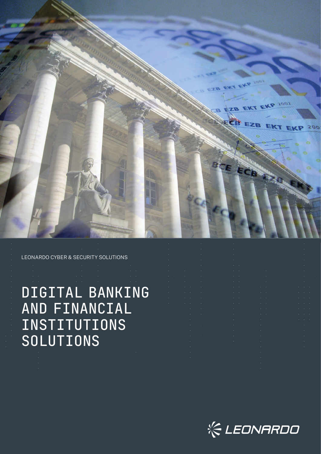

LEONARDO CYBER & SECURITY SOLUTIONS

DIGITAL BANKING AND FINANCIAL INSTITUTIONS SOLUTIONS

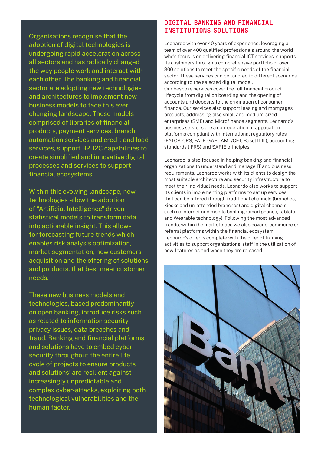Organisations recognise that the adoption of digital technologies is undergoing rapid acceleration across all sectors and has radically changed the way people work and interact with each other. The banking and financial sector are adopting new technologies and architectures to implement new business models to face this ever changing landscape. These models comprised of libraries of financial products, payment services, branch automation services and credit and load services, support B2B2C capabilities to create simplified and innovative digital processes and services to support financial ecosystems.

Within this evolving landscape, new technologies allow the adoption of "Artificial Intelligence" driven statistical models to transform data into actionable insight. This allows for forecasting future trends which enables risk analysis optimization, market segmentation, new customers acquisition and the offering of solutions and products, that best meet customer needs.

These new business models and technologies, based predominantly on open banking, introduce risks such as related to information security, privacy issues, data breaches and fraud. Banking and financial platforms and solutions have to embed cyber security throughout the entire life cycle of projects to ensure products and solutions' are resilient against increasingly unpredictable and complex cyber-attacks, exploiting both technological vulnerabilities and the human factor.

## DIGITAL BANKING AND FINANCIAL INSTITUTIONS SOLUTIONS

Leonardo with over 40 years of experience, leveraging a team of over 400 qualified professionals around the world who's focus is on delivering financial ICT services, supports its customers through a comprehensive portfolio of over 300 solutions to meet the specific needs of the financial sector. These services can be tailored to different scenarios according to the selected digital model. Our bespoke services cover the full financial product lifecycle from digital on boarding and the opening of accounts and deposits to the origination of consumer finance. Our services also support leasing and mortgages products, addressing also small and medium-sized enterprises (SME) and Microfinance segments. Leonardo's business services are a confederation of application platforms compliant with international regulatory rules (FATCA-CRS, FATF-GAFI, AML/CFT, Basel II-III), accounting standards (IFRS) and **SARIE** principles.

Leonardo is also focused in helping banking and financial organizations to understand and manage IT and business requirements. Leonardo works with its clients to design the most suitable architecture and security infrastructure to meet their individual needs. Leonardo also works to support its clients in implementing platforms to set up services that can be offered through traditional channels (branches, kiosks and un-attended branches) and digital channels such as Internet and mobile banking (smartphones, tablets and Wearable technology). Following the most advanced trends, within the marketplace we also cover e-commerce or referral platforms within the financial ecosystem. Leonardo's offer is complete with the offer of training activities to support organizations' staff in the utilization of new features as and when they are released.

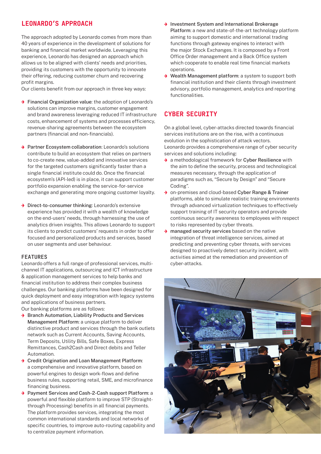## LEONARDO'S APPROACH

The approach adopted by Leonardo comes from more than 40 years of experience in the development of solutions for banking and financial market worldwide. Leveraging this experience, Leonardo has designed an approach which allows us to be aligned with clients' needs and priorities, providing its customers with the opportunity to innovate their offering, reducing customer churn and recovering profit margins.

Our clients benefit from our approach in three key ways:

- → Financial Organization value: the adoption of Leonardo's solutions can improve margins, customer engagement and brand awareness leveraging reduced IT infrastructure costs, enhancement of systems and processes efficiency, revenue-sharing agreements between the ecosystem partners (financial and non-financials).
- **→ Partner Ecosystem collaboration:** Leonardo's solutions contribute to build an ecosystem that relies on partners to co-create new, value-added and innovative services for the targeted customers significantly faster than a single financial institute could do. Once the financial ecosystem's (API-led) is in place, it can support customer portfolio expansion enabling the service-for-service exchange and generating more ongoing customer loyalty.
- **→ Direct-to-consumer thinking: Leonardo's extensive** experience has provided it with a wealth of knowledge on the end-users' needs, through harnessing the use of analytics driven insights. This allows Leonardo to support its clients to predict customers' requests in order to offer focused and personalized products and services, based on user segments and user behaviour.

#### **FEATURES**

Leonardo offers a full range of professional services, multichannel IT applications, outsourcing and ICT infrastructure & application management services to help banks and financial institution to address their complex business challenges. Our banking platforms have been designed for quick deployment and easy integration with legacy systems and applications of business partners.

Our banking platforms are as follows:

- **→** Branch Automation, Liability Products and Services Management Platform: a unique platform to deliver distinctive product and services through the bank outlets network such as Current Accounts, Saving Accounts, Term Deposits, Utility Bills, Safe Boxes, Express Remittances, Cash2Cash and Direct debits and Teller Automation.
- **→ Credit Origination and Loan Management Platform:** a comprehensive and innovative platform, based on powerful engines to design work-flows and define business rules, supporting retail, SME, and microfinance financing business.
- **→ Payment Services and Cash-2-Cash support Platform: a** powerful and flexible platform to improve STP (Straightthrough Processing) benefits in all financial payments. The platform provides services, integrating the most common international standards and local networks of specific countries, to improve auto-routing capability and to centralize payment information.
- → Investment System and International Brokerage Platform: a new and state-of-the-art technology platform aiming to support domestic and international trading functions through gateway engines to interact with the major Stock Exchanges. It is composed by a Front Office Order management and a Back Office system which cooperate to enable real time financial markets operations.
- → Wealth Management platform: a system to support both financial institution and their clients through investment advisory, portfolio management, analytics and reporting functionalities.

# CYBER SECURITY

On a global level, cyber-attacks directed towards financial services institutions are on the rise, with a continuous evolution in the sophistication of attack vectors. Leonardo provides a comprehensive range of cyber security services and solutions including:

- → a methodological framework for Cyber Resilience with the aim to define the security, process and technological measures necessary, through the application of paradigms such as, "Secure by Design" and "Secure Coding".
- **→** on-premises and cloud-based Cyber Range & Trainer platforms, able to simulate realistic training environments through advanced virtualization techniques to effectively support training of IT security operators and provide continuous security awareness to employees with respect to risks represented by cyber threats.
- $\rightarrow$  managed security services based on the native integration of threat intelligence services, aimed at predicting and preventing cyber threats, with services designed to proactively detect security incident, with activities aimed at the remediation and prevention of cyber-attacks.